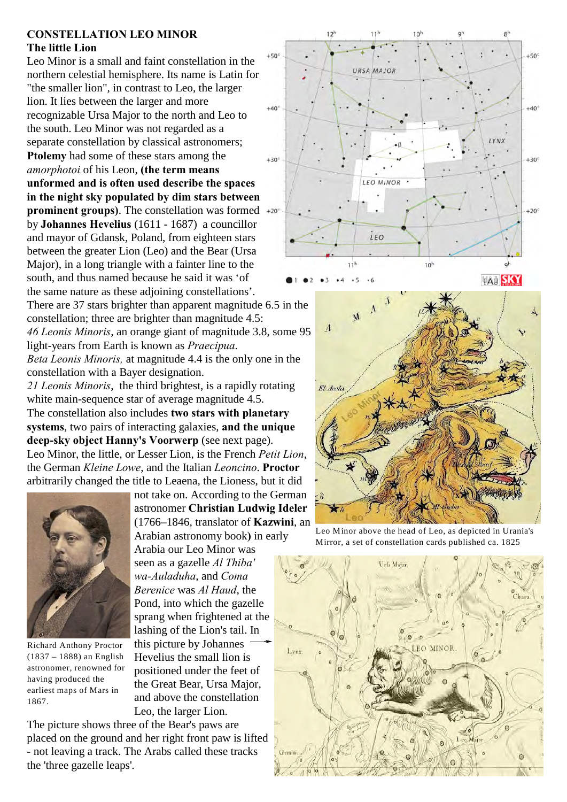## **CONSTELLATION LEO MINOR The little Lion**

Leo Minor is a small and faint constellation in the northern celestial hemisphere. Its name is Latin for "the smaller lion", in contrast to Leo, the larger lion. It lies between the larger and more recognizable Ursa Major to the north and Leo to the south. Leo Minor was not regarded as a separate constellation by classical astronomers; **Ptolemy** had some of these stars among the *amorphotoi* of his Leon, **(the term means unformed and is often used describe the spaces in the night sky populated by dim stars between prominent groups)**. The constellation was formed  $+20^\circ$ by **Johannes Hevelius** (1611 - 1687) a councillor and mayor of Gdansk, Poland, from eighteen stars between the greater Lion (Leo) and the Bear (Ursa Major), in a long triangle with a fainter line to the south, and thus named because he said it was 'of the same nature as these adjoining constellations'. There are 37 stars brighter than apparent magnitude 6.5 in the

constellation; three are brighter than magnitude 4.5: *46 Leonis Minoris*, an orange giant of magnitude 3.8, some 95 light-years from Earth is known as *Praecipua*. *Beta Leonis Minoris,* at magnitude 4.4 is the only one in the constellation with a Bayer designation.

*21 Leonis Minoris*, the third brightest, is a rapidly rotating white main-sequence star of average magnitude 4.5. The constellation also includes **two stars with planetary systems**, two pairs of interacting galaxies, **and the unique deep-sky object Hanny's Voorwerp** (see next page). Leo Minor, the little, or Lesser Lion, is the French *Petit Lion*, the German *Kleine Lowe*, and the Italian *Leoncino*. **Proctor** arbitrarily changed the title to Leaena, the Lioness, but it did



Richard Anthony Proctor (1837 – 1888) an English astronomer, renowned for having produced the earliest maps of Mars in 1867.

not take on. According to the German astronomer **Christian Ludwig Ideler** (1766–1846, translator of **Kazwini**, an Arabian astronomy book**)** in early Arabia our Leo Minor was seen as a gazelle *Al Thiba' wa-Auladuha*, and *Coma Berenice* was *Al Haud*, the Pond, into which the gazelle sprang when frightened at the lashing of the Lion's tail. In this picture by Johannes Hevelius the small lion is positioned under the feet of the Great Bear, Ursa Major, and above the constellation Leo, the larger Lion.

The picture shows three of the Bear's paws are placed on the ground and her right front paw is lifted - not leaving a track. The Arabs called these tracks the 'three gazelle leaps'.





Leo Minor above the head of Leo, as depicted in Urania's Mirror, a set of constellation cards published ca. 1825